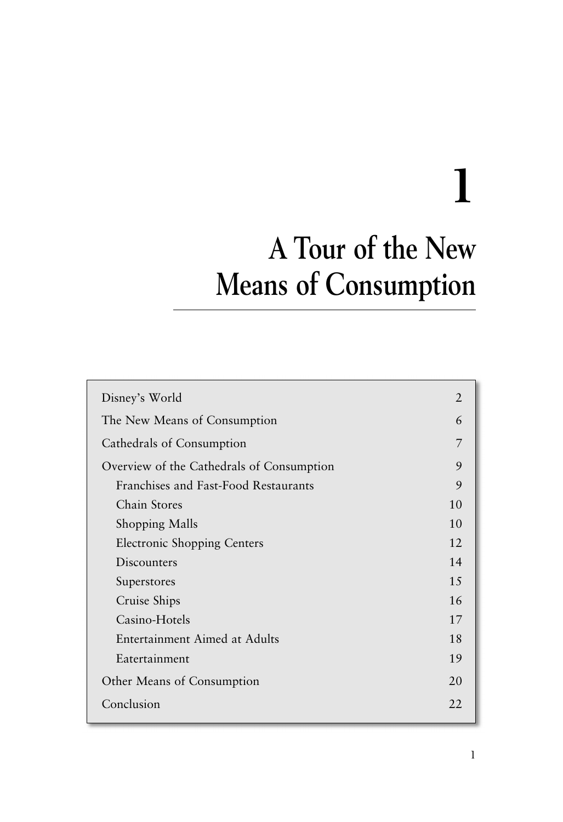# **1**

# **A Tour of the New Means of Consumption**

| Disney's World                            | $\overline{2}$  |
|-------------------------------------------|-----------------|
| The New Means of Consumption              | 6               |
| Cathedrals of Consumption                 | 7               |
| Overview of the Cathedrals of Consumption | 9               |
| Franchises and Fast-Food Restaurants      | 9               |
| Chain Stores                              | 10              |
| Shopping Malls                            | 1 <sub>0</sub>  |
| <b>Electronic Shopping Centers</b>        | 12 <sub>1</sub> |
| <b>Discounters</b>                        | 14              |
| Superstores                               | 1.5             |
| Cruise Ships                              | 16              |
| Casino-Hotels                             | 17              |
| Entertainment Aimed at Adults             | 18              |
| Eatertainment                             | 19              |
| Other Means of Consumption                | 20              |
| Conclusion                                | 22              |
|                                           |                 |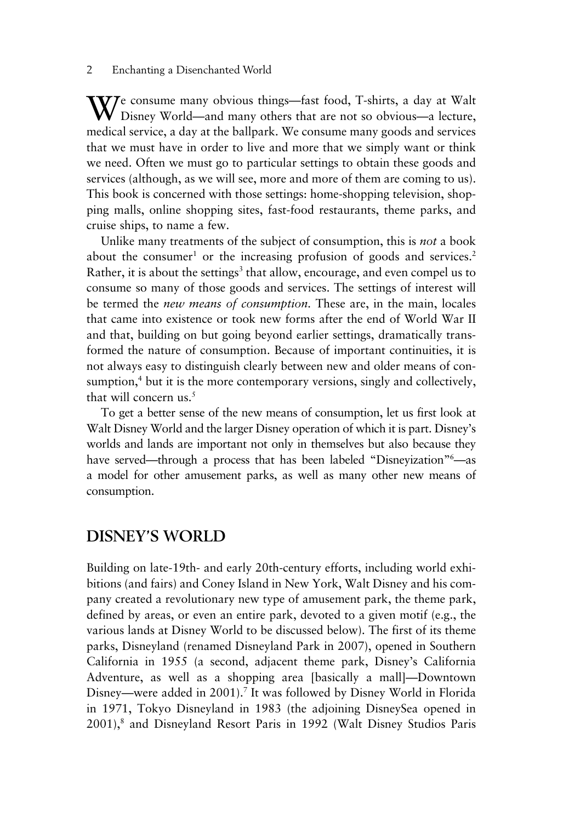We consume many obvious things—fast food, T-shirts, a day at Walt Disney World—and many others that are not so obvious—a lecture, medical service, a day at the ballpark. We consume many goods and services that we must have in order to live and more that we simply want or think we need. Often we must go to particular settings to obtain these goods and services (although, as we will see, more and more of them are coming to us). This book is concerned with those settings: home-shopping television, shopping malls, online shopping sites, fast-food restaurants, theme parks, and cruise ships, to name a few.

Unlike many treatments of the subject of consumption, this is *not* a book about the consumer<sup>1</sup> or the increasing profusion of goods and services.<sup>2</sup> Rather, it is about the settings<sup>3</sup> that allow, encourage, and even compel us to consume so many of those goods and services. The settings of interest will be termed the *new means of consumption.* These are, in the main, locales that came into existence or took new forms after the end of World War II and that, building on but going beyond earlier settings, dramatically transformed the nature of consumption. Because of important continuities, it is not always easy to distinguish clearly between new and older means of consumption,<sup>4</sup> but it is the more contemporary versions, singly and collectively, that will concern us. $5$ 

To get a better sense of the new means of consumption, let us first look at Walt Disney World and the larger Disney operation of which it is part. Disney's worlds and lands are important not only in themselves but also because they have served—through a process that has been labeled "Disnevization"<sup>6</sup>—as a model for other amusement parks, as well as many other new means of consumption.

## **DISNEY'S WORLD**

Building on late-19th- and early 20th-century efforts, including world exhibitions (and fairs) and Coney Island in New York, Walt Disney and his company created a revolutionary new type of amusement park, the theme park, defined by areas, or even an entire park, devoted to a given motif (e.g., the various lands at Disney World to be discussed below). The first of its theme parks, Disneyland (renamed Disneyland Park in 2007), opened in Southern California in 1955 (a second, adjacent theme park, Disney's California Adventure, as well as a shopping area [basically a mall]—Downtown Disney—were added in 2001).<sup>7</sup> It was followed by Disney World in Florida in 1971, Tokyo Disneyland in 1983 (the adjoining DisneySea opened in  $2001$ ,<sup>8</sup> and Disneyland Resort Paris in 1992 (Walt Disney Studios Paris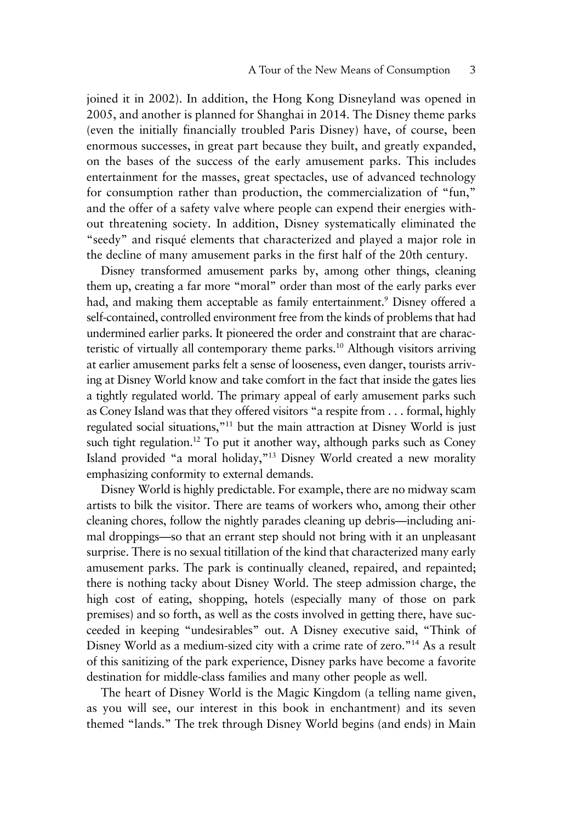joined it in 2002). In addition, the Hong Kong Disneyland was opened in 2005, and another is planned for Shanghai in 2014. The Disney theme parks (even the initially financially troubled Paris Disney) have, of course, been enormous successes, in great part because they built, and greatly expanded, on the bases of the success of the early amusement parks. This includes entertainment for the masses, great spectacles, use of advanced technology for consumption rather than production, the commercialization of "fun," and the offer of a safety valve where people can expend their energies without threatening society. In addition, Disney systematically eliminated the "seedy" and risqué elements that characterized and played a major role in the decline of many amusement parks in the first half of the 20th century.

Disney transformed amusement parks by, among other things, cleaning them up, creating a far more "moral" order than most of the early parks ever had, and making them acceptable as family entertainment.<sup>9</sup> Disney offered a self-contained, controlled environment free from the kinds of problems that had undermined earlier parks. It pioneered the order and constraint that are characteristic of virtually all contemporary theme parks.<sup>10</sup> Although visitors arriving at earlier amusement parks felt a sense of looseness, even danger, tourists arriving at Disney World know and take comfort in the fact that inside the gates lies a tightly regulated world. The primary appeal of early amusement parks such as Coney Island was that they offered visitors "a respite from ... formal, highly regulated social situations,"11 but the main attraction at Disney World is just such tight regulation.<sup>12</sup> To put it another way, although parks such as Coney Island provided "a moral holiday,"13 Disney World created a new morality emphasizing conformity to external demands.

Disney World is highly predictable. For example, there are no midway scam artists to bilk the visitor. There are teams of workers who, among their other cleaning chores, follow the nightly parades cleaning up debris—including animal droppings—so that an errant step should not bring with it an unpleasant surprise. There is no sexual titillation of the kind that characterized many early amusement parks. The park is continually cleaned, repaired, and repainted; there is nothing tacky about Disney World. The steep admission charge, the high cost of eating, shopping, hotels (especially many of those on park premises) and so forth, as well as the costs involved in getting there, have succeeded in keeping "undesirables" out. A Disney executive said, "Think of Disney World as a medium-sized city with a crime rate of zero."14 As a result of this sanitizing of the park experience, Disney parks have become a favorite destination for middle-class families and many other people as well.

The heart of Disney World is the Magic Kingdom (a telling name given, as you will see, our interest in this book in enchantment) and its seven themed "lands." The trek through Disney World begins (and ends) in Main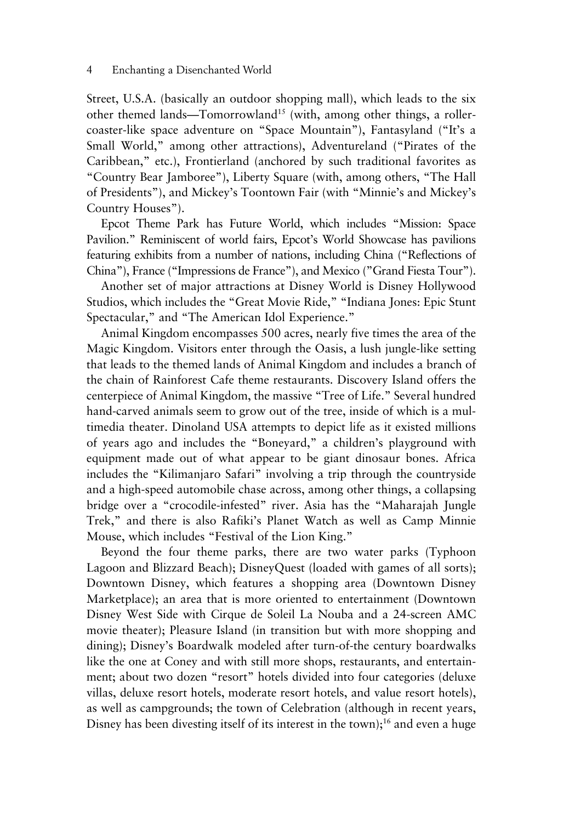Street, U.S.A. (basically an outdoor shopping mall), which leads to the six other themed lands—Tomorrowland<sup>15</sup> (with, among other things, a rollercoaster-like space adventure on "Space Mountain"), Fantasyland ("It's a Small World," among other attractions), Adventureland ("Pirates of the Caribbean," etc.), Frontierland (anchored by such traditional favorites as "Country Bear Jamboree"), Liberty Square (with, among others, "The Hall of Presidents"), and Mickey's Toontown Fair (with "Minnie's and Mickey's Country Houses").

Epcot Theme Park has Future World, which includes "Mission: Space Pavilion." Reminiscent of world fairs, Epcot's World Showcase has pavilions featuring exhibits from a number of nations, including China ("Reflections of China"), France ("Impressions de France"), and Mexico ("Grand Fiesta Tour").

Another set of major attractions at Disney World is Disney Hollywood Studios, which includes the "Great Movie Ride," "Indiana Jones: Epic Stunt Spectacular," and "The American Idol Experience."

Animal Kingdom encompasses 500 acres, nearly five times the area of the Magic Kingdom. Visitors enter through the Oasis, a lush jungle-like setting that leads to the themed lands of Animal Kingdom and includes a branch of the chain of Rainforest Cafe theme restaurants. Discovery Island offers the centerpiece of Animal Kingdom, the massive "Tree of Life." Several hundred hand-carved animals seem to grow out of the tree, inside of which is a multimedia theater. Dinoland USA attempts to depict life as it existed millions of years ago and includes the "Boneyard," a children's playground with equipment made out of what appear to be giant dinosaur bones. Africa includes the "Kilimanjaro Safari" involving a trip through the countryside and a high-speed automobile chase across, among other things, a collapsing bridge over a "crocodile-infested" river. Asia has the "Maharajah Jungle Trek," and there is also Rafiki's Planet Watch as well as Camp Minnie Mouse, which includes "Festival of the Lion King."

Beyond the four theme parks, there are two water parks (Typhoon Lagoon and Blizzard Beach); DisneyQuest (loaded with games of all sorts); Downtown Disney, which features a shopping area (Downtown Disney Marketplace); an area that is more oriented to entertainment (Downtown Disney West Side with Cirque de Soleil La Nouba and a 24-screen AMC movie theater); Pleasure Island (in transition but with more shopping and dining); Disney's Boardwalk modeled after turn-of-the century boardwalks like the one at Coney and with still more shops, restaurants, and entertainment; about two dozen "resort" hotels divided into four categories (deluxe villas, deluxe resort hotels, moderate resort hotels, and value resort hotels), as well as campgrounds; the town of Celebration (although in recent years, Disney has been divesting itself of its interest in the town);<sup>16</sup> and even a huge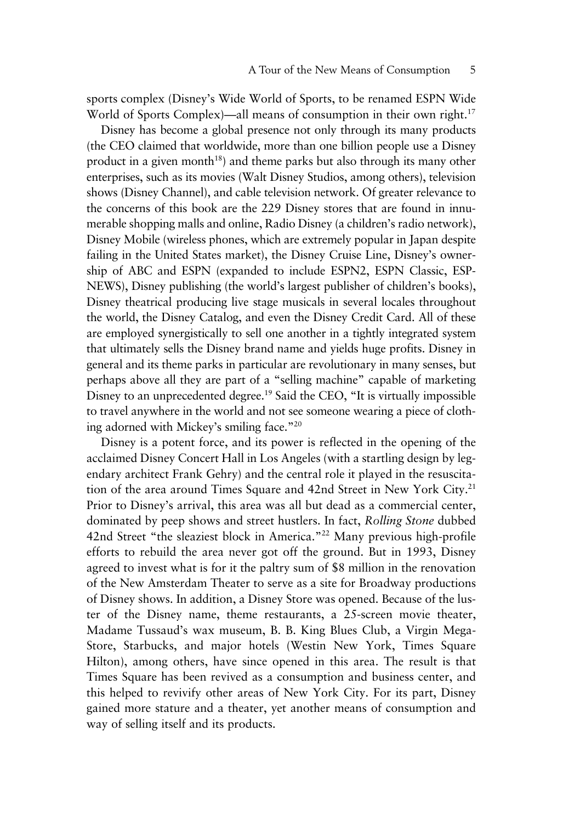sports complex (Disney's Wide World of Sports, to be renamed ESPN Wide World of Sports Complex)—all means of consumption in their own right.<sup>17</sup>

Disney has become a global presence not only through its many products (the CEO claimed that worldwide, more than one billion people use a Disney product in a given month<sup>18</sup>) and theme parks but also through its many other enterprises, such as its movies (Walt Disney Studios, among others), television shows (Disney Channel), and cable television network. Of greater relevance to the concerns of this book are the 229 Disney stores that are found in innumerable shopping malls and online, Radio Disney (a children's radio network), Disney Mobile (wireless phones, which are extremely popular in Japan despite failing in the United States market), the Disney Cruise Line, Disney's ownership of ABC and ESPN (expanded to include ESPN2, ESPN Classic, ESP-NEWS), Disney publishing (the world's largest publisher of children's books), Disney theatrical producing live stage musicals in several locales throughout the world, the Disney Catalog, and even the Disney Credit Card. All of these are employed synergistically to sell one another in a tightly integrated system that ultimately sells the Disney brand name and yields huge profits. Disney in general and its theme parks in particular are revolutionary in many senses, but perhaps above all they are part of a "selling machine" capable of marketing Disney to an unprecedented degree.<sup>19</sup> Said the CEO, "It is virtually impossible to travel anywhere in the world and not see someone wearing a piece of clothing adorned with Mickey's smiling face."20

Disney is a potent force, and its power is reflected in the opening of the acclaimed Disney Concert Hall in Los Angeles (with a startling design by legendary architect Frank Gehry) and the central role it played in the resuscitation of the area around Times Square and 42nd Street in New York City.<sup>21</sup> Prior to Disney's arrival, this area was all but dead as a commercial center, dominated by peep shows and street hustlers. In fact, *Rolling Stone* dubbed 42nd Street "the sleaziest block in America."<sup>22</sup> Many previous high-profile efforts to rebuild the area never got off the ground. But in 1993, Disney agreed to invest what is for it the paltry sum of \$8 million in the renovation of the New Amsterdam Theater to serve as a site for Broadway productions of Disney shows. In addition, a Disney Store was opened. Because of the luster of the Disney name, theme restaurants, a 25-screen movie theater, Madame Tussaud's wax museum, B. B. King Blues Club, a Virgin Mega-Store, Starbucks, and major hotels (Westin New York, Times Square Hilton), among others, have since opened in this area. The result is that Times Square has been revived as a consumption and business center, and this helped to revivify other areas of New York City. For its part, Disney gained more stature and a theater, yet another means of consumption and way of selling itself and its products.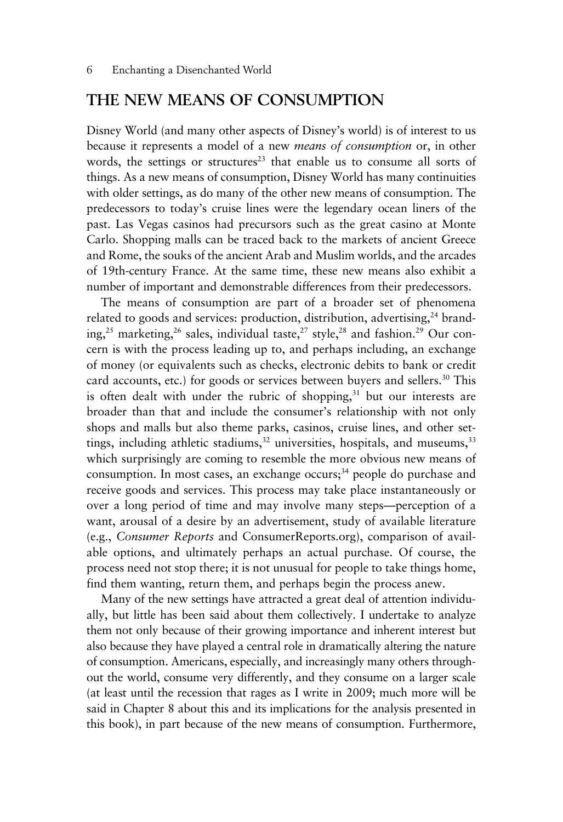# **THE NEW MEANS OF CONSUMPTION**

Disney World (and many other aspects of Disney's world) is of interest to us because it represents a model of a new *means of consumption* or, in other words, the settings or structures<sup>23</sup> that enable us to consume all sorts of things. As a new means of consumption, Disney World has many continuities with older settings, as do many of the other new means of consumption. The predecessors to today's cruise lines were the legendary ocean liners of the past. Las Vegas casinos had precursors such as the great casino at Monte Carlo. Shopping malls can be traced back to the markets of ancient Greece and Rome, the souks of the ancient Arab and Muslim worlds, and the arcades of 19th-century France. At the same time, these new means also exhibit a number of important and demonstrable differences from their predecessors.

The means of consumption are part of a broader set of phenomena related to goods and services: production, distribution, advertising,<sup>24</sup> branding,<sup>25</sup> marketing,<sup>26</sup> sales, individual taste,<sup>27</sup> style,<sup>28</sup> and fashion.<sup>29</sup> Our concern is with the process leading up to, and perhaps including, an exchange of money (or equivalents such as checks, electronic debits to bank or credit card accounts, etc.) for goods or services between buyers and sellers.<sup>30</sup> This is often dealt with under the rubric of shopping, $31$  but our interests are broader than that and include the consumer's relationship with not only shops and malls but also theme parks, casinos, cruise lines, and other settings, including athletic stadiums, $32$  universities, hospitals, and museums, $33$ which surprisingly are coming to resemble the more obvious new means of consumption. In most cases, an exchange occurs; $34$  people do purchase and receive goods and services. This process may take place instantaneously or over a long period of time and may involve many steps—perception of a want, arousal of a desire by an advertisement, study of available literature (e.g., *Consumer Reports* and ConsumerReports.org), comparison of available options, and ultimately perhaps an actual purchase. Of course, the process need not stop there; it is not unusual for people to take things home, find them wanting, return them, and perhaps begin the process anew.

Many of the new settings have attracted a great deal of attention individually, but little has been said about them collectively. I undertake to analyze them not only because of their growing importance and inherent interest but also because they have played a central role in dramatically altering the nature of consumption. Americans, especially, and increasingly many others throughout the world, consume very differently, and they consume on a larger scale (at least until the recession that rages as I write in 2009; much more will be said in Chapter 8 about this and its implications for the analysis presented in this book), in part because of the new means of consumption. Furthermore,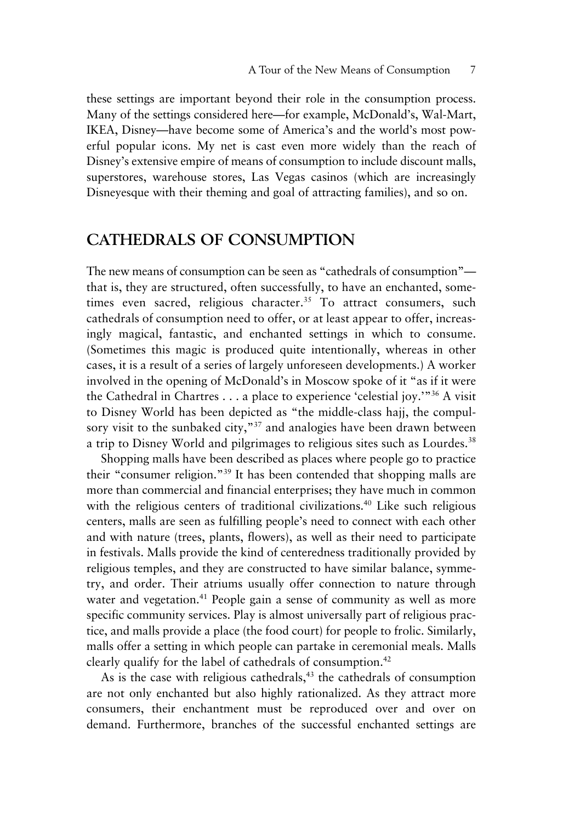these settings are important beyond their role in the consumption process. Many of the settings considered here—for example, McDonald's, Wal-Mart, IKEA, Disney—have become some of America's and the world's most powerful popular icons. My net is cast even more widely than the reach of Disney's extensive empire of means of consumption to include discount malls, superstores, warehouse stores, Las Vegas casinos (which are increasingly Disneyesque with their theming and goal of attracting families), and so on.

# **CATHEDRALS OF CONSUMPTION**

The new means of consumption can be seen as "cathedrals of consumption" that is, they are structured, often successfully, to have an enchanted, sometimes even sacred, religious character.<sup>35</sup> To attract consumers, such cathedrals of consumption need to offer, or at least appear to offer, increasingly magical, fantastic, and enchanted settings in which to consume. (Sometimes this magic is produced quite intentionally, whereas in other cases, it is a result of a series of largely unforeseen developments.) A worker involved in the opening of McDonald's in Moscow spoke of it "as if it were the Cathedral in Chartres ... a place to experience 'celestial joy.'"36 A visit to Disney World has been depicted as "the middle-class hajj, the compulsory visit to the sunbaked city,"<sup>37</sup> and analogies have been drawn between a trip to Disney World and pilgrimages to religious sites such as Lourdes.38

Shopping malls have been described as places where people go to practice their "consumer religion."39 It has been contended that shopping malls are more than commercial and financial enterprises; they have much in common with the religious centers of traditional civilizations.<sup>40</sup> Like such religious centers, malls are seen as fulfilling people's need to connect with each other and with nature (trees, plants, flowers), as well as their need to participate in festivals. Malls provide the kind of centeredness traditionally provided by religious temples, and they are constructed to have similar balance, symmetry, and order. Their atriums usually offer connection to nature through water and vegetation.<sup>41</sup> People gain a sense of community as well as more specific community services. Play is almost universally part of religious practice, and malls provide a place (the food court) for people to frolic. Similarly, malls offer a setting in which people can partake in ceremonial meals. Malls clearly qualify for the label of cathedrals of consumption.<sup>42</sup>

As is the case with religious cathedrals, $43$  the cathedrals of consumption are not only enchanted but also highly rationalized. As they attract more consumers, their enchantment must be reproduced over and over on demand. Furthermore, branches of the successful enchanted settings are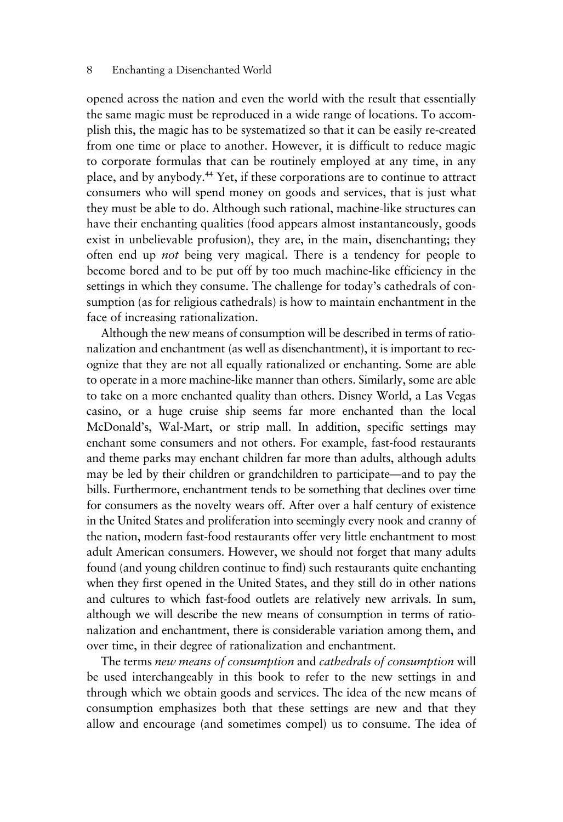opened across the nation and even the world with the result that essentially the same magic must be reproduced in a wide range of locations. To accomplish this, the magic has to be systematized so that it can be easily re-created from one time or place to another. However, it is difficult to reduce magic to corporate formulas that can be routinely employed at any time, in any place, and by anybody.44 Yet, if these corporations are to continue to attract consumers who will spend money on goods and services, that is just what they must be able to do. Although such rational, machine-like structures can have their enchanting qualities (food appears almost instantaneously, goods exist in unbelievable profusion), they are, in the main, disenchanting; they often end up *not* being very magical. There is a tendency for people to become bored and to be put off by too much machine-like efficiency in the settings in which they consume. The challenge for today's cathedrals of consumption (as for religious cathedrals) is how to maintain enchantment in the face of increasing rationalization.

Although the new means of consumption will be described in terms of rationalization and enchantment (as well as disenchantment), it is important to recognize that they are not all equally rationalized or enchanting. Some are able to operate in a more machine-like manner than others. Similarly, some are able to take on a more enchanted quality than others. Disney World, a Las Vegas casino, or a huge cruise ship seems far more enchanted than the local McDonald's, Wal-Mart, or strip mall. In addition, specific settings may enchant some consumers and not others. For example, fast-food restaurants and theme parks may enchant children far more than adults, although adults may be led by their children or grandchildren to participate—and to pay the bills. Furthermore, enchantment tends to be something that declines over time for consumers as the novelty wears off. After over a half century of existence in the United States and proliferation into seemingly every nook and cranny of the nation, modern fast-food restaurants offer very little enchantment to most adult American consumers. However, we should not forget that many adults found (and young children continue to find) such restaurants quite enchanting when they first opened in the United States, and they still do in other nations and cultures to which fast-food outlets are relatively new arrivals. In sum, although we will describe the new means of consumption in terms of rationalization and enchantment, there is considerable variation among them, and over time, in their degree of rationalization and enchantment.

The terms *new means of consumption* and *cathedrals of consumption* will be used interchangeably in this book to refer to the new settings in and through which we obtain goods and services. The idea of the new means of consumption emphasizes both that these settings are new and that they allow and encourage (and sometimes compel) us to consume. The idea of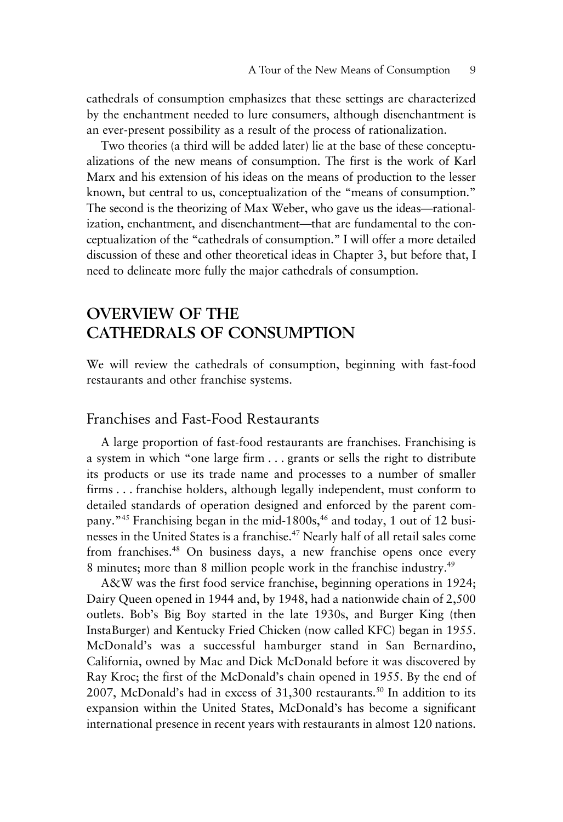cathedrals of consumption emphasizes that these settings are characterized by the enchantment needed to lure consumers, although disenchantment is an ever-present possibility as a result of the process of rationalization.

Two theories (a third will be added later) lie at the base of these conceptualizations of the new means of consumption. The first is the work of Karl Marx and his extension of his ideas on the means of production to the lesser known, but central to us, conceptualization of the "means of consumption." The second is the theorizing of Max Weber, who gave us the ideas—rationalization, enchantment, and disenchantment—that are fundamental to the conceptualization of the "cathedrals of consumption." I will offer a more detailed discussion of these and other theoretical ideas in Chapter 3, but before that, I need to delineate more fully the major cathedrals of consumption.

# **OVERVIEW OF THE CATHEDRALS OF CONSUMPTION**

We will review the cathedrals of consumption, beginning with fast-food restaurants and other franchise systems.

#### Franchises and Fast-Food Restaurants

A large proportion of fast-food restaurants are franchises. Franchising is a system in which "one large firm ... grants or sells the right to distribute its products or use its trade name and processes to a number of smaller firms ... franchise holders, although legally independent, must conform to detailed standards of operation designed and enforced by the parent company."<sup>45</sup> Franchising began in the mid-1800s,<sup>46</sup> and today, 1 out of 12 businesses in the United States is a franchise.47 Nearly half of all retail sales come from franchises.<sup>48</sup> On business days, a new franchise opens once every 8 minutes; more than 8 million people work in the franchise industry.49

A&W was the first food service franchise, beginning operations in 1924; Dairy Queen opened in 1944 and, by 1948, had a nationwide chain of 2,500 outlets. Bob's Big Boy started in the late 1930s, and Burger King (then InstaBurger) and Kentucky Fried Chicken (now called KFC) began in 1955. McDonald's was a successful hamburger stand in San Bernardino, California, owned by Mac and Dick McDonald before it was discovered by Ray Kroc; the first of the McDonald's chain opened in 1955. By the end of 2007, McDonald's had in excess of 31,300 restaurants.<sup>50</sup> In addition to its expansion within the United States, McDonald's has become a significant international presence in recent years with restaurants in almost 120 nations.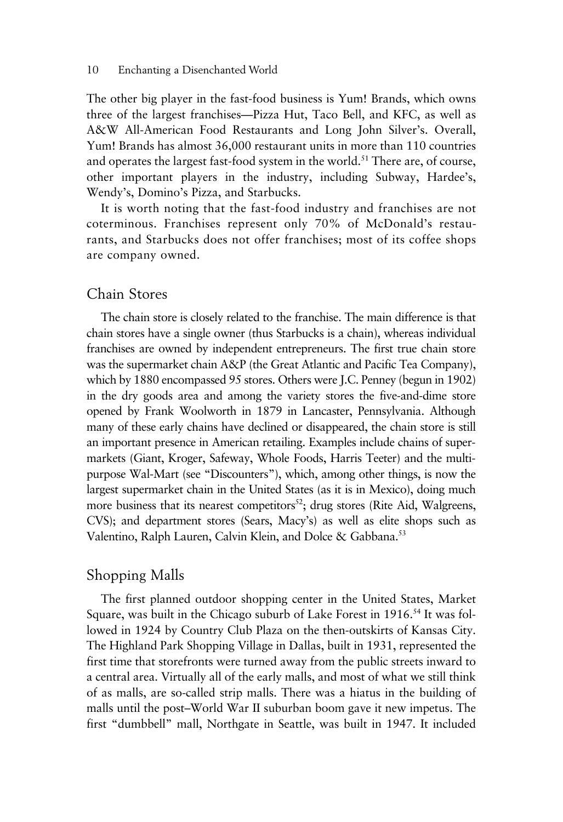The other big player in the fast-food business is Yum! Brands, which owns three of the largest franchises—Pizza Hut, Taco Bell, and KFC, as well as A&W All-American Food Restaurants and Long John Silver's. Overall, Yum! Brands has almost 36,000 restaurant units in more than 110 countries and operates the largest fast-food system in the world.<sup>51</sup> There are, of course, other important players in the industry, including Subway, Hardee's, Wendy's, Domino's Pizza, and Starbucks.

It is worth noting that the fast-food industry and franchises are not coterminous. Franchises represent only 70% of McDonald's restaurants, and Starbucks does not offer franchises; most of its coffee shops are company owned.

#### Chain Stores

The chain store is closely related to the franchise. The main difference is that chain stores have a single owner (thus Starbucks is a chain), whereas individual franchises are owned by independent entrepreneurs. The first true chain store was the supermarket chain A&P (the Great Atlantic and Pacific Tea Company), which by 1880 encompassed 95 stores. Others were J.C. Penney (begun in 1902) in the dry goods area and among the variety stores the five-and-dime store opened by Frank Woolworth in 1879 in Lancaster, Pennsylvania. Although many of these early chains have declined or disappeared, the chain store is still an important presence in American retailing. Examples include chains of supermarkets (Giant, Kroger, Safeway, Whole Foods, Harris Teeter) and the multipurpose Wal-Mart (see "Discounters"), which, among other things, is now the largest supermarket chain in the United States (as it is in Mexico), doing much more business that its nearest competitors<sup>52</sup>; drug stores (Rite Aid, Walgreens, CVS); and department stores (Sears, Macy's) as well as elite shops such as Valentino, Ralph Lauren, Calvin Klein, and Dolce & Gabbana.<sup>53</sup>

#### Shopping Malls

The first planned outdoor shopping center in the United States, Market Square, was built in the Chicago suburb of Lake Forest in 1916.<sup>54</sup> It was followed in 1924 by Country Club Plaza on the then-outskirts of Kansas City. The Highland Park Shopping Village in Dallas, built in 1931, represented the first time that storefronts were turned away from the public streets inward to a central area. Virtually all of the early malls, and most of what we still think of as malls, are so-called strip malls. There was a hiatus in the building of malls until the post–World War II suburban boom gave it new impetus. The first "dumbbell" mall, Northgate in Seattle, was built in 1947. It included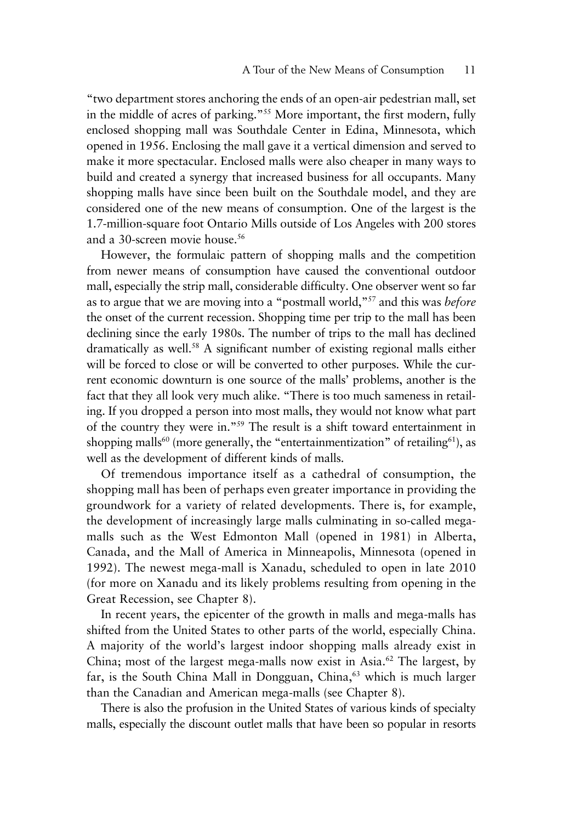"two department stores anchoring the ends of an open-air pedestrian mall, set in the middle of acres of parking."55 More important, the first modern, fully enclosed shopping mall was Southdale Center in Edina, Minnesota, which opened in 1956. Enclosing the mall gave it a vertical dimension and served to make it more spectacular. Enclosed malls were also cheaper in many ways to build and created a synergy that increased business for all occupants. Many shopping malls have since been built on the Southdale model, and they are considered one of the new means of consumption. One of the largest is the 1.7-million-square foot Ontario Mills outside of Los Angeles with 200 stores and a 30-screen movie house.<sup>56</sup>

However, the formulaic pattern of shopping malls and the competition from newer means of consumption have caused the conventional outdoor mall, especially the strip mall, considerable difficulty. One observer went so far as to argue that we are moving into a "postmall world,"57 and this was *before* the onset of the current recession. Shopping time per trip to the mall has been declining since the early 1980s. The number of trips to the mall has declined dramatically as well.<sup>58</sup> A significant number of existing regional malls either will be forced to close or will be converted to other purposes. While the current economic downturn is one source of the malls' problems, another is the fact that they all look very much alike. "There is too much sameness in retailing. If you dropped a person into most malls, they would not know what part of the country they were in."59 The result is a shift toward entertainment in shopping malls<sup>60</sup> (more generally, the "entertainmentization" of retailing<sup>61</sup>), as well as the development of different kinds of malls.

Of tremendous importance itself as a cathedral of consumption, the shopping mall has been of perhaps even greater importance in providing the groundwork for a variety of related developments. There is, for example, the development of increasingly large malls culminating in so-called megamalls such as the West Edmonton Mall (opened in 1981) in Alberta, Canada, and the Mall of America in Minneapolis, Minnesota (opened in 1992). The newest mega-mall is Xanadu, scheduled to open in late 2010 (for more on Xanadu and its likely problems resulting from opening in the Great Recession, see Chapter 8).

In recent years, the epicenter of the growth in malls and mega-malls has shifted from the United States to other parts of the world, especially China. A majority of the world's largest indoor shopping malls already exist in China; most of the largest mega-malls now exist in Asia.<sup>62</sup> The largest, by far, is the South China Mall in Dongguan, China,<sup>63</sup> which is much larger than the Canadian and American mega-malls (see Chapter 8).

There is also the profusion in the United States of various kinds of specialty malls, especially the discount outlet malls that have been so popular in resorts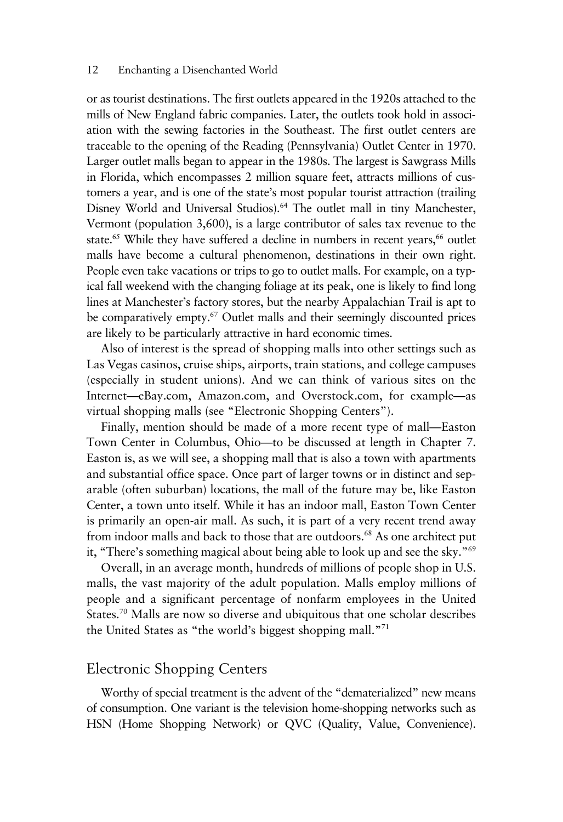or as tourist destinations. The first outlets appeared in the 1920s attached to the mills of New England fabric companies. Later, the outlets took hold in association with the sewing factories in the Southeast. The first outlet centers are traceable to the opening of the Reading (Pennsylvania) Outlet Center in 1970. Larger outlet malls began to appear in the 1980s. The largest is Sawgrass Mills in Florida, which encompasses 2 million square feet, attracts millions of customers a year, and is one of the state's most popular tourist attraction (trailing Disney World and Universal Studios).<sup>64</sup> The outlet mall in tiny Manchester, Vermont (population 3,600), is a large contributor of sales tax revenue to the state.<sup>65</sup> While they have suffered a decline in numbers in recent years,<sup>66</sup> outlet malls have become a cultural phenomenon, destinations in their own right. People even take vacations or trips to go to outlet malls. For example, on a typical fall weekend with the changing foliage at its peak, one is likely to find long lines at Manchester's factory stores, but the nearby Appalachian Trail is apt to be comparatively empty.<sup>67</sup> Outlet malls and their seemingly discounted prices are likely to be particularly attractive in hard economic times.

Also of interest is the spread of shopping malls into other settings such as Las Vegas casinos, cruise ships, airports, train stations, and college campuses (especially in student unions). And we can think of various sites on the Internet—eBay.com, Amazon.com, and Overstock.com, for example—as virtual shopping malls (see "Electronic Shopping Centers").

Finally, mention should be made of a more recent type of mall—Easton Town Center in Columbus, Ohio—to be discussed at length in Chapter 7. Easton is, as we will see, a shopping mall that is also a town with apartments and substantial office space. Once part of larger towns or in distinct and separable (often suburban) locations, the mall of the future may be, like Easton Center, a town unto itself. While it has an indoor mall, Easton Town Center is primarily an open-air mall. As such, it is part of a very recent trend away from indoor malls and back to those that are outdoors.<sup>68</sup> As one architect put it, "There's something magical about being able to look up and see the sky."69

Overall, in an average month, hundreds of millions of people shop in U.S. malls, the vast majority of the adult population. Malls employ millions of people and a significant percentage of nonfarm employees in the United States.70 Malls are now so diverse and ubiquitous that one scholar describes the United States as "the world's biggest shopping mall."71

#### Electronic Shopping Centers

Worthy of special treatment is the advent of the "dematerialized" new means of consumption. One variant is the television home-shopping networks such as HSN (Home Shopping Network) or QVC (Quality, Value, Convenience).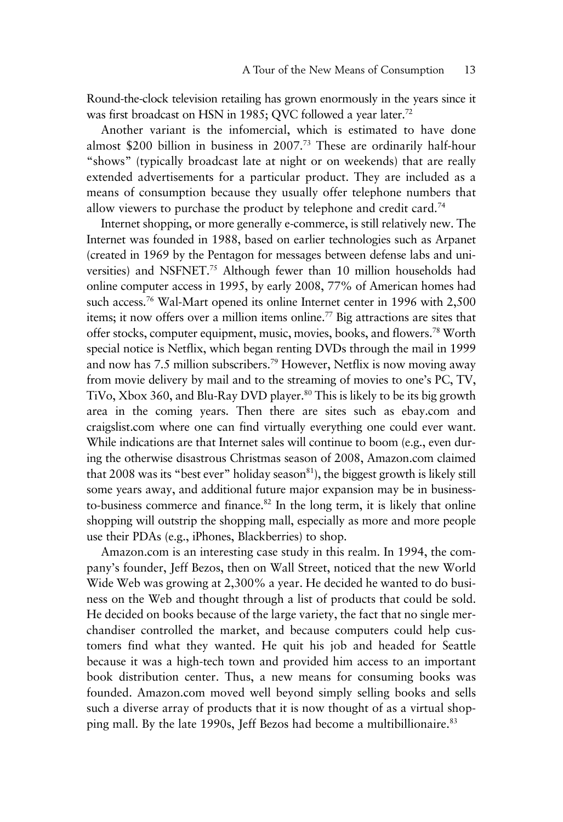Round-the-clock television retailing has grown enormously in the years since it was first broadcast on HSN in 1985; QVC followed a year later.<sup>72</sup>

Another variant is the infomercial, which is estimated to have done almost \$200 billion in business in 2007.73 These are ordinarily half-hour "shows" (typically broadcast late at night or on weekends) that are really extended advertisements for a particular product. They are included as a means of consumption because they usually offer telephone numbers that allow viewers to purchase the product by telephone and credit card.<sup>74</sup>

Internet shopping, or more generally e-commerce, is still relatively new. The Internet was founded in 1988, based on earlier technologies such as Arpanet (created in 1969 by the Pentagon for messages between defense labs and universities) and NSFNET.<sup>75</sup> Although fewer than 10 million households had online computer access in 1995, by early 2008, 77% of American homes had such access.<sup>76</sup> Wal-Mart opened its online Internet center in 1996 with 2,500 items; it now offers over a million items online.77 Big attractions are sites that offer stocks, computer equipment, music, movies, books, and flowers.78 Worth special notice is Netflix, which began renting DVDs through the mail in 1999 and now has 7.5 million subscribers.79 However, Netflix is now moving away from movie delivery by mail and to the streaming of movies to one's PC, TV, TiVo, Xbox 360, and Blu-Ray DVD player.<sup>80</sup> This is likely to be its big growth area in the coming years. Then there are sites such as ebay.com and craigslist.com where one can find virtually everything one could ever want. While indications are that Internet sales will continue to boom (e.g., even during the otherwise disastrous Christmas season of 2008, Amazon.com claimed that 2008 was its "best ever" holiday season $^{81}$ ), the biggest growth is likely still some years away, and additional future major expansion may be in businessto-business commerce and finance. $82$  In the long term, it is likely that online shopping will outstrip the shopping mall, especially as more and more people use their PDAs (e.g., iPhones, Blackberries) to shop.

Amazon.com is an interesting case study in this realm. In 1994, the company's founder, Jeff Bezos, then on Wall Street, noticed that the new World Wide Web was growing at 2,300% a year. He decided he wanted to do business on the Web and thought through a list of products that could be sold. He decided on books because of the large variety, the fact that no single merchandiser controlled the market, and because computers could help customers find what they wanted. He quit his job and headed for Seattle because it was a high-tech town and provided him access to an important book distribution center. Thus, a new means for consuming books was founded. Amazon.com moved well beyond simply selling books and sells such a diverse array of products that it is now thought of as a virtual shopping mall. By the late 1990s, Jeff Bezos had become a multibillionaire.<sup>83</sup>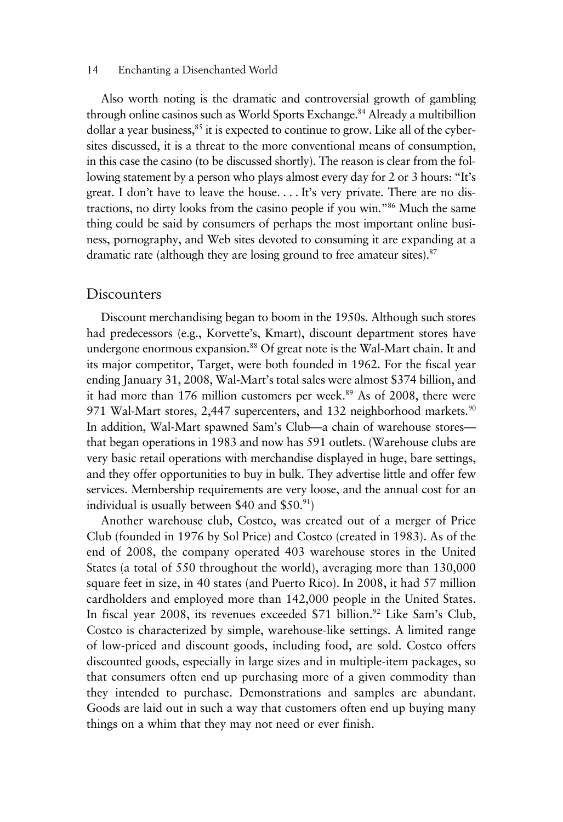#### 14 Enchanting a Disenchanted World

Also worth noting is the dramatic and controversial growth of gambling through online casinos such as World Sports Exchange.<sup>84</sup> Already a multibillion dollar a year business,  $85$  it is expected to continue to grow. Like all of the cybersites discussed, it is a threat to the more conventional means of consumption, in this case the casino (to be discussed shortly). The reason is clear from the following statement by a person who plays almost every day for 2 or 3 hours: "It's great. I don't have to leave the house.... It's very private. There are no distractions, no dirty looks from the casino people if you win."86 Much the same thing could be said by consumers of perhaps the most important online business, pornography, and Web sites devoted to consuming it are expanding at a dramatic rate (although they are losing ground to free amateur sites).<sup>87</sup>

#### **Discounters**

Discount merchandising began to boom in the 1950s. Although such stores had predecessors (e.g., Korvette's, Kmart), discount department stores have undergone enormous expansion.<sup>88</sup> Of great note is the Wal-Mart chain. It and its major competitor, Target, were both founded in 1962. For the fiscal year ending January 31, 2008, Wal-Mart's total sales were almost \$374 billion, and it had more than 176 million customers per week.<sup>89</sup> As of 2008, there were 971 Wal-Mart stores, 2,447 supercenters, and 132 neighborhood markets.<sup>90</sup> In addition, Wal-Mart spawned Sam's Club—a chain of warehouse stores that began operations in 1983 and now has 591 outlets. (Warehouse clubs are very basic retail operations with merchandise displayed in huge, bare settings, and they offer opportunities to buy in bulk. They advertise little and offer few services. Membership requirements are very loose, and the annual cost for an individual is usually between  $$40$  and  $$50.<sup>91</sup>$ )

Another warehouse club, Costco, was created out of a merger of Price Club (founded in 1976 by Sol Price) and Costco (created in 1983). As of the end of 2008, the company operated 403 warehouse stores in the United States (a total of 550 throughout the world), averaging more than 130,000 square feet in size, in 40 states (and Puerto Rico). In 2008, it had 57 million cardholders and employed more than 142,000 people in the United States. In fiscal year 2008, its revenues exceeded \$71 billion.<sup>92</sup> Like Sam's Club, Costco is characterized by simple, warehouse-like settings. A limited range of low-priced and discount goods, including food, are sold. Costco offers discounted goods, especially in large sizes and in multiple-item packages, so that consumers often end up purchasing more of a given commodity than they intended to purchase. Demonstrations and samples are abundant. Goods are laid out in such a way that customers often end up buying many things on a whim that they may not need or ever finish.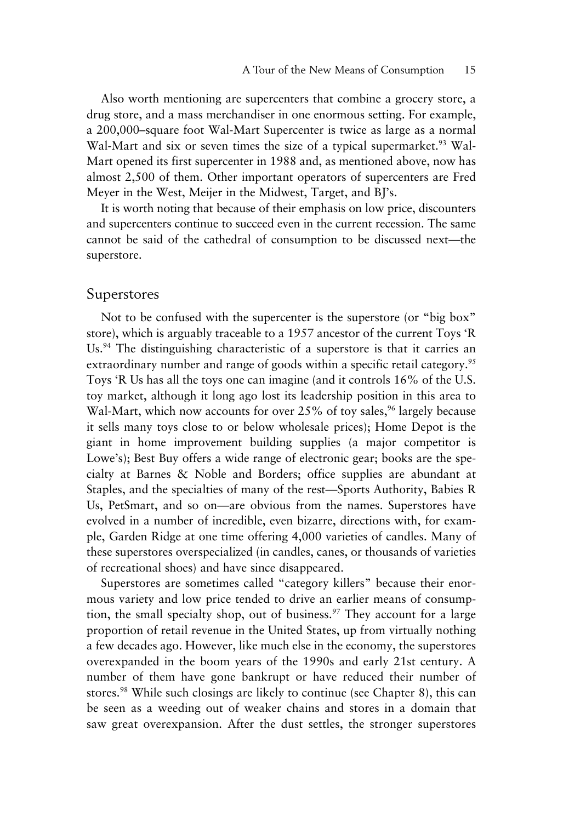Also worth mentioning are supercenters that combine a grocery store, a drug store, and a mass merchandiser in one enormous setting. For example, a 200,000–square foot Wal-Mart Supercenter is twice as large as a normal Wal-Mart and six or seven times the size of a typical supermarket.<sup>93</sup> Wal-Mart opened its first supercenter in 1988 and, as mentioned above, now has almost 2,500 of them. Other important operators of supercenters are Fred Meyer in the West, Meijer in the Midwest, Target, and BJ's.

It is worth noting that because of their emphasis on low price, discounters and supercenters continue to succeed even in the current recession. The same cannot be said of the cathedral of consumption to be discussed next—the superstore.

#### Superstores

Not to be confused with the supercenter is the superstore (or "big box" store), which is arguably traceable to a 1957 ancestor of the current Toys 'R Us.<sup>94</sup> The distinguishing characteristic of a superstore is that it carries an extraordinary number and range of goods within a specific retail category.<sup>95</sup> Toys 'R Us has all the toys one can imagine (and it controls 16% of the U.S. toy market, although it long ago lost its leadership position in this area to Wal-Mart, which now accounts for over  $25\%$  of toy sales,  $96$  largely because it sells many toys close to or below wholesale prices); Home Depot is the giant in home improvement building supplies (a major competitor is Lowe's); Best Buy offers a wide range of electronic gear; books are the specialty at Barnes & Noble and Borders; office supplies are abundant at Staples, and the specialties of many of the rest—Sports Authority, Babies R Us, PetSmart, and so on—are obvious from the names. Superstores have evolved in a number of incredible, even bizarre, directions with, for example, Garden Ridge at one time offering 4,000 varieties of candles. Many of these superstores overspecialized (in candles, canes, or thousands of varieties of recreational shoes) and have since disappeared.

Superstores are sometimes called "category killers" because their enormous variety and low price tended to drive an earlier means of consumption, the small specialty shop, out of business.<sup>97</sup> They account for a large proportion of retail revenue in the United States, up from virtually nothing a few decades ago. However, like much else in the economy, the superstores overexpanded in the boom years of the 1990s and early 21st century. A number of them have gone bankrupt or have reduced their number of stores.<sup>98</sup> While such closings are likely to continue (see Chapter 8), this can be seen as a weeding out of weaker chains and stores in a domain that saw great overexpansion. After the dust settles, the stronger superstores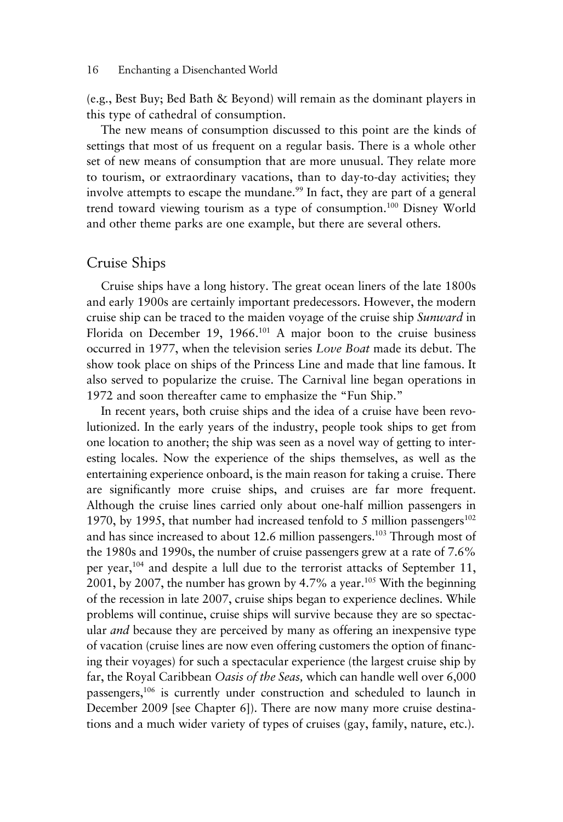(e.g., Best Buy; Bed Bath & Beyond) will remain as the dominant players in this type of cathedral of consumption.

The new means of consumption discussed to this point are the kinds of settings that most of us frequent on a regular basis. There is a whole other set of new means of consumption that are more unusual. They relate more to tourism, or extraordinary vacations, than to day-to-day activities; they involve attempts to escape the mundane.<sup>99</sup> In fact, they are part of a general trend toward viewing tourism as a type of consumption.100 Disney World and other theme parks are one example, but there are several others.

#### Cruise Ships

Cruise ships have a long history. The great ocean liners of the late 1800s and early 1900s are certainly important predecessors. However, the modern cruise ship can be traced to the maiden voyage of the cruise ship *Sunward* in Florida on December 19, 1966.<sup>101</sup> A major boon to the cruise business occurred in 1977, when the television series *Love Boat* made its debut. The show took place on ships of the Princess Line and made that line famous. It also served to popularize the cruise. The Carnival line began operations in 1972 and soon thereafter came to emphasize the "Fun Ship."

In recent years, both cruise ships and the idea of a cruise have been revolutionized. In the early years of the industry, people took ships to get from one location to another; the ship was seen as a novel way of getting to interesting locales. Now the experience of the ships themselves, as well as the entertaining experience onboard, is the main reason for taking a cruise. There are significantly more cruise ships, and cruises are far more frequent. Although the cruise lines carried only about one-half million passengers in 1970, by 1995, that number had increased tenfold to 5 million passengers $102$ and has since increased to about 12.6 million passengers.<sup>103</sup> Through most of the 1980s and 1990s, the number of cruise passengers grew at a rate of 7.6% per year,<sup>104</sup> and despite a lull due to the terrorist attacks of September 11, 2001, by 2007, the number has grown by 4.7% a year.<sup>105</sup> With the beginning of the recession in late 2007, cruise ships began to experience declines. While problems will continue, cruise ships will survive because they are so spectacular *and* because they are perceived by many as offering an inexpensive type of vacation (cruise lines are now even offering customers the option of financing their voyages) for such a spectacular experience (the largest cruise ship by far, the Royal Caribbean *Oasis of the Seas,* which can handle well over 6,000 passengers,106 is currently under construction and scheduled to launch in December 2009 [see Chapter 6]). There are now many more cruise destinations and a much wider variety of types of cruises (gay, family, nature, etc.).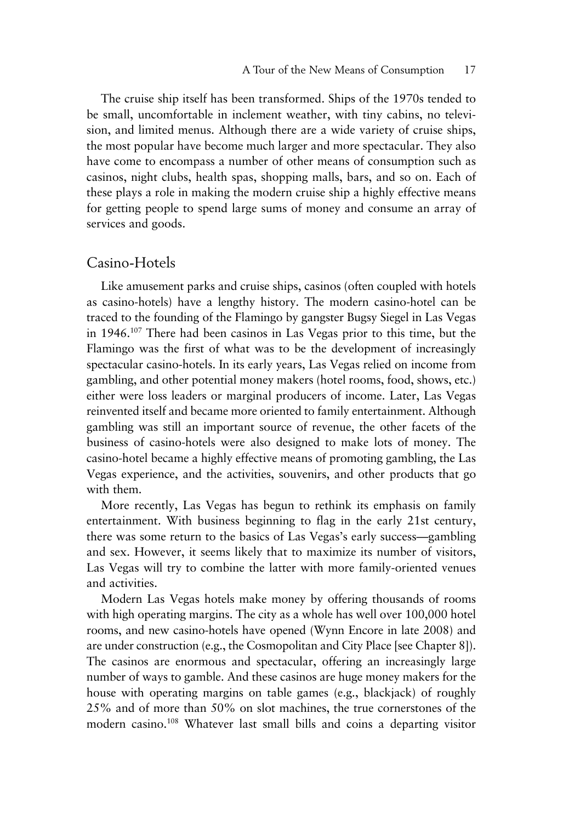The cruise ship itself has been transformed. Ships of the 1970s tended to be small, uncomfortable in inclement weather, with tiny cabins, no television, and limited menus. Although there are a wide variety of cruise ships, the most popular have become much larger and more spectacular. They also have come to encompass a number of other means of consumption such as casinos, night clubs, health spas, shopping malls, bars, and so on. Each of these plays a role in making the modern cruise ship a highly effective means for getting people to spend large sums of money and consume an array of services and goods.

#### Casino-Hotels

Like amusement parks and cruise ships, casinos (often coupled with hotels as casino-hotels) have a lengthy history. The modern casino-hotel can be traced to the founding of the Flamingo by gangster Bugsy Siegel in Las Vegas in 1946.107 There had been casinos in Las Vegas prior to this time, but the Flamingo was the first of what was to be the development of increasingly spectacular casino-hotels. In its early years, Las Vegas relied on income from gambling, and other potential money makers (hotel rooms, food, shows, etc.) either were loss leaders or marginal producers of income. Later, Las Vegas reinvented itself and became more oriented to family entertainment. Although gambling was still an important source of revenue, the other facets of the business of casino-hotels were also designed to make lots of money. The casino-hotel became a highly effective means of promoting gambling, the Las Vegas experience, and the activities, souvenirs, and other products that go with them.

More recently, Las Vegas has begun to rethink its emphasis on family entertainment. With business beginning to flag in the early 21st century, there was some return to the basics of Las Vegas's early success—gambling and sex. However, it seems likely that to maximize its number of visitors, Las Vegas will try to combine the latter with more family-oriented venues and activities.

Modern Las Vegas hotels make money by offering thousands of rooms with high operating margins. The city as a whole has well over 100,000 hotel rooms, and new casino-hotels have opened (Wynn Encore in late 2008) and are under construction (e.g., the Cosmopolitan and City Place [see Chapter 8]). The casinos are enormous and spectacular, offering an increasingly large number of ways to gamble. And these casinos are huge money makers for the house with operating margins on table games (e.g., blackjack) of roughly 25% and of more than 50% on slot machines, the true cornerstones of the modern casino.108 Whatever last small bills and coins a departing visitor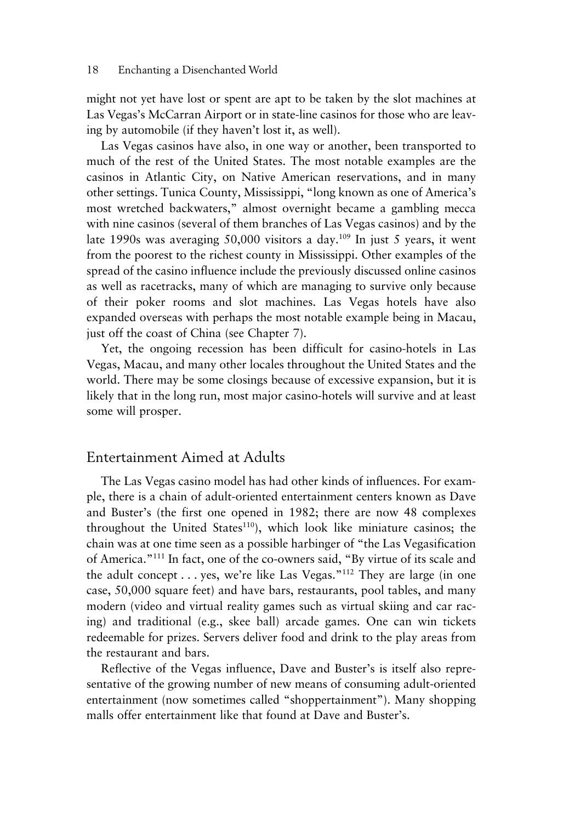might not yet have lost or spent are apt to be taken by the slot machines at Las Vegas's McCarran Airport or in state-line casinos for those who are leaving by automobile (if they haven't lost it, as well).

Las Vegas casinos have also, in one way or another, been transported to much of the rest of the United States. The most notable examples are the casinos in Atlantic City, on Native American reservations, and in many other settings. Tunica County, Mississippi, "long known as one of America's most wretched backwaters," almost overnight became a gambling mecca with nine casinos (several of them branches of Las Vegas casinos) and by the late 1990s was averaging 50,000 visitors a day.<sup>109</sup> In just 5 years, it went from the poorest to the richest county in Mississippi. Other examples of the spread of the casino influence include the previously discussed online casinos as well as racetracks, many of which are managing to survive only because of their poker rooms and slot machines. Las Vegas hotels have also expanded overseas with perhaps the most notable example being in Macau, just off the coast of China (see Chapter 7).

Yet, the ongoing recession has been difficult for casino-hotels in Las Vegas, Macau, and many other locales throughout the United States and the world. There may be some closings because of excessive expansion, but it is likely that in the long run, most major casino-hotels will survive and at least some will prosper.

#### Entertainment Aimed at Adults

The Las Vegas casino model has had other kinds of influences. For example, there is a chain of adult-oriented entertainment centers known as Dave and Buster's (the first one opened in 1982; there are now 48 complexes throughout the United States<sup>110</sup>), which look like miniature casinos; the chain was at one time seen as a possible harbinger of "the Las Vegasification of America."111 In fact, one of the co-owners said, "By virtue of its scale and the adult concept ... yes, we're like Las Vegas."112 They are large (in one case, 50,000 square feet) and have bars, restaurants, pool tables, and many modern (video and virtual reality games such as virtual skiing and car racing) and traditional (e.g., skee ball) arcade games. One can win tickets redeemable for prizes. Servers deliver food and drink to the play areas from the restaurant and bars.

Reflective of the Vegas influence, Dave and Buster's is itself also representative of the growing number of new means of consuming adult-oriented entertainment (now sometimes called "shoppertainment"). Many shopping malls offer entertainment like that found at Dave and Buster's.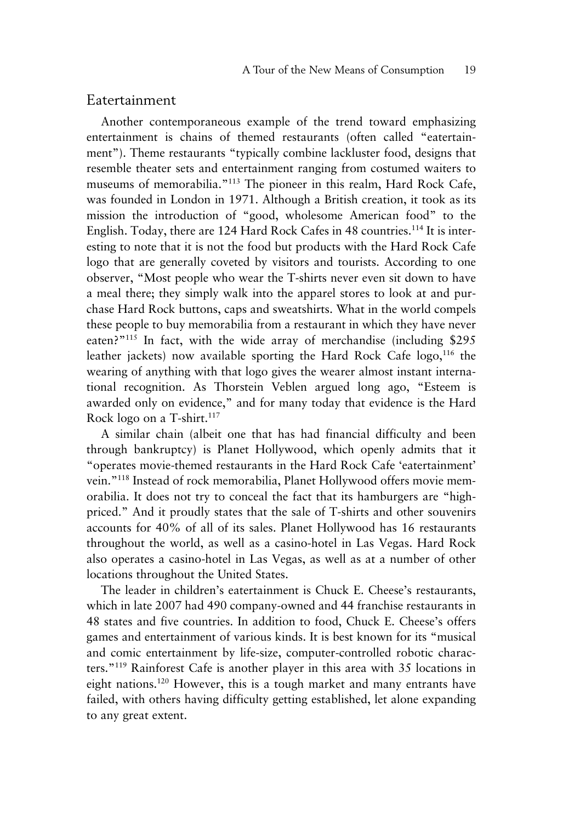#### Eatertainment

Another contemporaneous example of the trend toward emphasizing entertainment is chains of themed restaurants (often called "eatertainment"). Theme restaurants "typically combine lackluster food, designs that resemble theater sets and entertainment ranging from costumed waiters to museums of memorabilia."113 The pioneer in this realm, Hard Rock Cafe, was founded in London in 1971. Although a British creation, it took as its mission the introduction of "good, wholesome American food" to the English. Today, there are 124 Hard Rock Cafes in 48 countries.<sup>114</sup> It is interesting to note that it is not the food but products with the Hard Rock Cafe logo that are generally coveted by visitors and tourists. According to one observer, "Most people who wear the T-shirts never even sit down to have a meal there; they simply walk into the apparel stores to look at and purchase Hard Rock buttons, caps and sweatshirts. What in the world compels these people to buy memorabilia from a restaurant in which they have never eaten?"<sup>115</sup> In fact, with the wide array of merchandise (including \$295 leather jackets) now available sporting the Hard Rock Cafe  $logo<sub>116</sub>$  the wearing of anything with that logo gives the wearer almost instant international recognition. As Thorstein Veblen argued long ago, "Esteem is awarded only on evidence," and for many today that evidence is the Hard Rock logo on a T-shirt.<sup>117</sup>

A similar chain (albeit one that has had financial difficulty and been through bankruptcy) is Planet Hollywood, which openly admits that it "operates movie-themed restaurants in the Hard Rock Cafe 'eatertainment' vein."118 Instead of rock memorabilia, Planet Hollywood offers movie memorabilia. It does not try to conceal the fact that its hamburgers are "highpriced." And it proudly states that the sale of T-shirts and other souvenirs accounts for 40% of all of its sales. Planet Hollywood has 16 restaurants throughout the world, as well as a casino-hotel in Las Vegas. Hard Rock also operates a casino-hotel in Las Vegas, as well as at a number of other locations throughout the United States.

The leader in children's eatertainment is Chuck E. Cheese's restaurants, which in late 2007 had 490 company-owned and 44 franchise restaurants in 48 states and five countries. In addition to food, Chuck E. Cheese's offers games and entertainment of various kinds. It is best known for its "musical and comic entertainment by life-size, computer-controlled robotic characters."119 Rainforest Cafe is another player in this area with 35 locations in eight nations.120 However, this is a tough market and many entrants have failed, with others having difficulty getting established, let alone expanding to any great extent.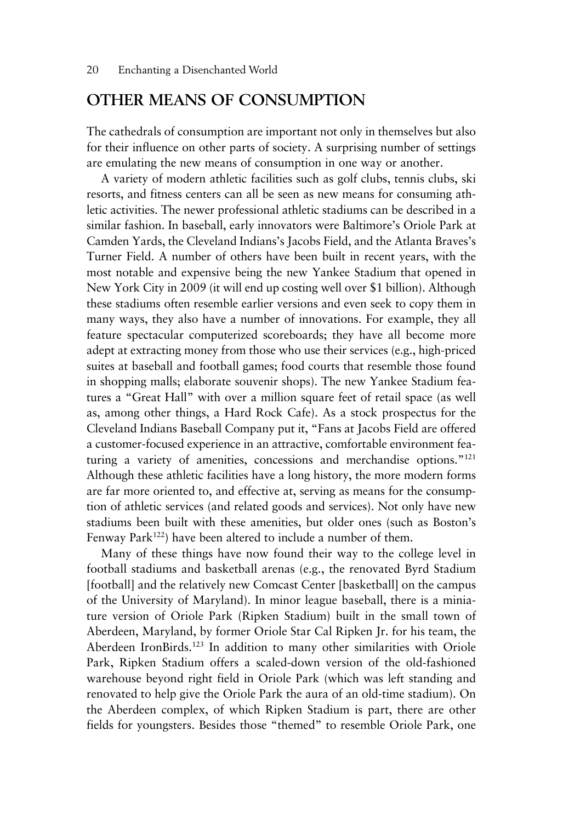# **OTHER MEANS OF CONSUMPTION**

The cathedrals of consumption are important not only in themselves but also for their influence on other parts of society. A surprising number of settings are emulating the new means of consumption in one way or another.

A variety of modern athletic facilities such as golf clubs, tennis clubs, ski resorts, and fitness centers can all be seen as new means for consuming athletic activities. The newer professional athletic stadiums can be described in a similar fashion. In baseball, early innovators were Baltimore's Oriole Park at Camden Yards, the Cleveland Indians's Jacobs Field, and the Atlanta Braves's Turner Field. A number of others have been built in recent years, with the most notable and expensive being the new Yankee Stadium that opened in New York City in 2009 (it will end up costing well over \$1 billion). Although these stadiums often resemble earlier versions and even seek to copy them in many ways, they also have a number of innovations. For example, they all feature spectacular computerized scoreboards; they have all become more adept at extracting money from those who use their services (e.g., high-priced suites at baseball and football games; food courts that resemble those found in shopping malls; elaborate souvenir shops). The new Yankee Stadium features a "Great Hall" with over a million square feet of retail space (as well as, among other things, a Hard Rock Cafe). As a stock prospectus for the Cleveland Indians Baseball Company put it, "Fans at Jacobs Field are offered a customer-focused experience in an attractive, comfortable environment featuring a variety of amenities, concessions and merchandise options."121 Although these athletic facilities have a long history, the more modern forms are far more oriented to, and effective at, serving as means for the consumption of athletic services (and related goods and services). Not only have new stadiums been built with these amenities, but older ones (such as Boston's Fenway Park<sup>122</sup>) have been altered to include a number of them.

Many of these things have now found their way to the college level in football stadiums and basketball arenas (e.g., the renovated Byrd Stadium [football] and the relatively new Comcast Center [basketball] on the campus of the University of Maryland). In minor league baseball, there is a miniature version of Oriole Park (Ripken Stadium) built in the small town of Aberdeen, Maryland, by former Oriole Star Cal Ripken Jr. for his team, the Aberdeen IronBirds.<sup>123</sup> In addition to many other similarities with Oriole Park, Ripken Stadium offers a scaled-down version of the old-fashioned warehouse beyond right field in Oriole Park (which was left standing and renovated to help give the Oriole Park the aura of an old-time stadium). On the Aberdeen complex, of which Ripken Stadium is part, there are other fields for youngsters. Besides those "themed" to resemble Oriole Park, one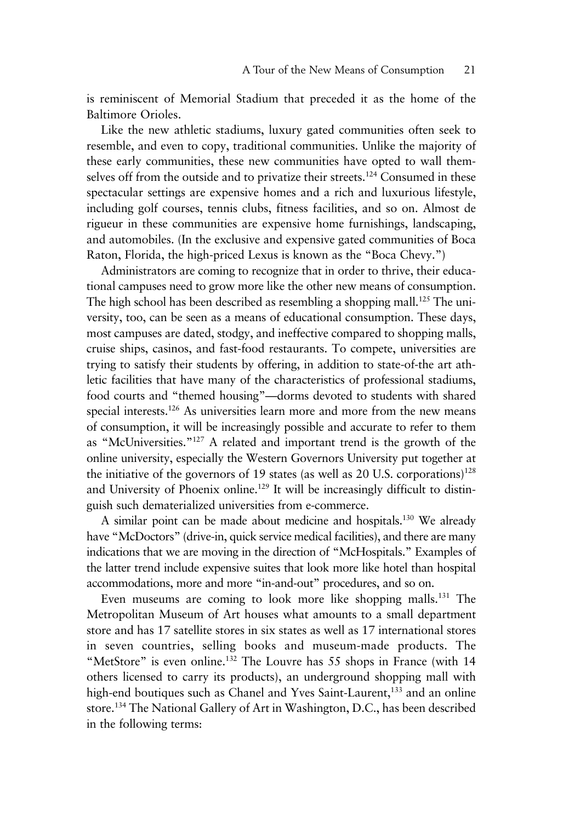is reminiscent of Memorial Stadium that preceded it as the home of the Baltimore Orioles.

Like the new athletic stadiums, luxury gated communities often seek to resemble, and even to copy, traditional communities. Unlike the majority of these early communities, these new communities have opted to wall themselves off from the outside and to privatize their streets.<sup>124</sup> Consumed in these spectacular settings are expensive homes and a rich and luxurious lifestyle, including golf courses, tennis clubs, fitness facilities, and so on. Almost de rigueur in these communities are expensive home furnishings, landscaping, and automobiles. (In the exclusive and expensive gated communities of Boca Raton, Florida, the high-priced Lexus is known as the "Boca Chevy.")

Administrators are coming to recognize that in order to thrive, their educational campuses need to grow more like the other new means of consumption. The high school has been described as resembling a shopping mall.<sup>125</sup> The university, too, can be seen as a means of educational consumption. These days, most campuses are dated, stodgy, and ineffective compared to shopping malls, cruise ships, casinos, and fast-food restaurants. To compete, universities are trying to satisfy their students by offering, in addition to state-of-the art athletic facilities that have many of the characteristics of professional stadiums, food courts and "themed housing"—dorms devoted to students with shared special interests.<sup>126</sup> As universities learn more and more from the new means of consumption, it will be increasingly possible and accurate to refer to them as "McUniversities."127 A related and important trend is the growth of the online university, especially the Western Governors University put together at the initiative of the governors of 19 states (as well as 20 U.S. corporations)<sup>128</sup> and University of Phoenix online.<sup>129</sup> It will be increasingly difficult to distinguish such dematerialized universities from e-commerce.

A similar point can be made about medicine and hospitals.130 We already have "McDoctors" (drive-in, quick service medical facilities), and there are many indications that we are moving in the direction of "McHospitals." Examples of the latter trend include expensive suites that look more like hotel than hospital accommodations, more and more "in-and-out" procedures, and so on.

Even museums are coming to look more like shopping malls.<sup>131</sup> The Metropolitan Museum of Art houses what amounts to a small department store and has 17 satellite stores in six states as well as 17 international stores in seven countries, selling books and museum-made products. The "MetStore" is even online.<sup>132</sup> The Louvre has 55 shops in France (with 14 others licensed to carry its products), an underground shopping mall with high-end boutiques such as Chanel and Yves Saint-Laurent,<sup>133</sup> and an online store.134 The National Gallery of Art in Washington, D.C., has been described in the following terms: